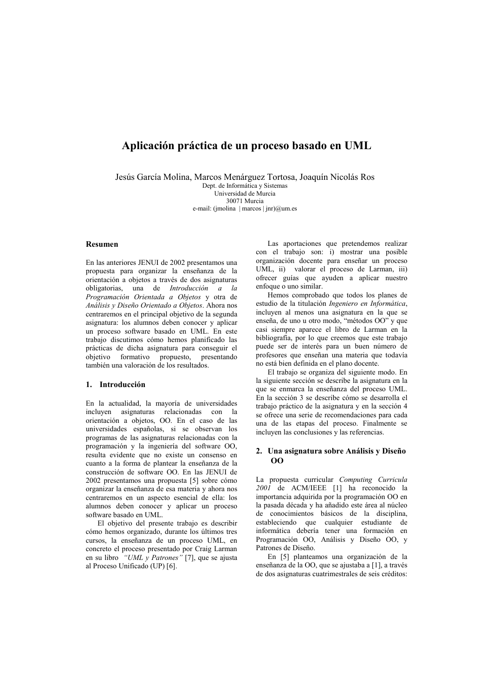# Aplicación práctica de un proceso basado en UML

Jesús García Molina, Marcos Menárguez Tortosa, Joaquín Nicolás Ros

Dept. de Informática y Sistemas Universidad de Murcia 30071 Murcia e-mail: (jmolina | marcos | jnr) $@um.$ es

### **Resumen**

En las anteriores JENUI de 2002 presentamos una propuesta para organizar la enseñanza de la orientación a objetos a través de dos asignaturas obligatorias, una de Introducción a la Programación Orientada a Objetos y otra de Análisis y Diseño Orientado a Objetos. Ahora nos centraremos en el principal objetivo de la segunda asignatura: los alumnos deben conocer y aplicar un proceso software basado en UML. En este trabajo discutimos cómo hemos planificado las prácticas de dicha asignatura para conseguir el objetivo formativo propuesto, presentando también una valoración de los resultados.

## 1. Introducción

En la actualidad, la mayoría de universidades incluyen asignaturas relacionadas con la orientación a objetos, OO. En el caso de las universidades españolas, si se observan los programas de las asignaturas relacionadas con la programación y la ingeniería del software OO, resulta evidente que no existe un consenso en cuanto a la forma de plantear la enseñanza de la construcción de software OO. En las JENUI de 2002 presentamos una propuesta [5] sobre cómo organizar la enseñanza de esa materia y ahora nos centraremos en un aspecto esencial de ella: los alumnos deben conocer y aplicar un proceso software basado en UML.

El objetivo del presente trabajo es describir cómo hemos organizado, durante los últimos tres cursos, la enseñanza de un proceso UML, en concreto el proceso presentado por Craig Larman en su libro  $\sqrt{\text{i}^{2} UML}$  y Patrones" [7], que se ajusta al Proceso Unificado (UP) [6].

Las aportaciones que pretendemos realizar con el trabajo son: i) mostrar una posible organización docente para enseñar un proceso UML, ii) valorar el proceso de Larman, iii) ofrecer guías que avuden a aplicar nuestro enfoque o uno similar.

Hemos comprobado que todos los planes de estudio de la titulación Ingeniero en Informática, incluyen al menos una asignatura en la que se enseña, de uno u otro modo, "métodos OO" y que casi siempre aparece el libro de Larman en la bibliografía, por lo que creemos que este trabajo puede ser de interés para un buen número de profesores que enseñan una materia que todavía no está bien definida en el plano docente.

El trabajo se organiza del siguiente modo. En la siguiente sección se describe la asignatura en la que se enmarca la enseñanza del proceso UML. En la sección 3 se describe cómo se desarrolla el trabajo práctico de la asignatura y en la sección 4 se ofrece una serie de recomendaciones para cada una de las etapas del proceso. Finalmente se incluyen las conclusiones y las referencias.

## 2. Una asignatura sobre Análisis y Diseño  $0<sup>0</sup>$

La propuesta curricular Computing Curricula 2001 de ACM/IEEE [1] ha reconocido la importancia adquirida por la programación OO en la pasada década y ha añadido este área al núcleo de conocimientos básicos de la disciplina, estableciendo que cualquier estudiante de informática debería tener una formación en Programación OO, Análisis y Diseño OO, y Patrones de Diseño.

En [5] planteamos una organización de la enseñanza de la OO, que se ajustaba a [1], a través de dos asignaturas cuatrimestrales de seis créditos: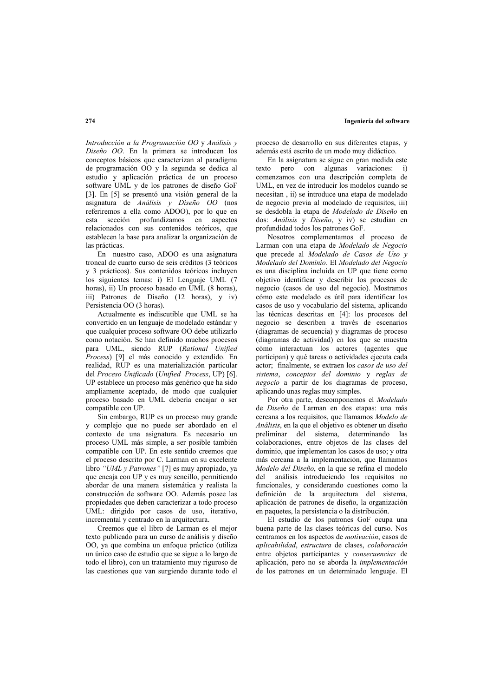## Ingeniería del software

Introducción a la Programación OO y Análisis y Diseño OO. En la primera se introducen los conceptos básicos que caracterizan al paradigma de programación OO y la segunda se dedica al estudio y aplicación práctica de un proceso software UML y de los patrones de diseño GoF [3]. En [5] se presentó una visión general de la asignatura de Análisis y Diseño OO (nos referiremos a ella como ADOO), por lo que en esta sección profundizamos en aspectos relacionados con sus contenidos teóricos, que establecen la base para analizar la organización de las prácticas

En nuestro caso, ADOO es una asignatura troncal de cuarto curso de seis créditos (3 teóricos y 3 prácticos). Sus contenidos teóricos incluyen los siguientes temas: i) El Lenguaje UML (7 horas), ii) Un proceso basado en UML (8 horas). iii) Patrones de Diseño (12 horas), y iv) Persistencia OO (3 horas).

Actualmente es indiscutible que UML se ha convertido en un lenguaje de modelado estándar y que cualquier proceso software OO debe utilizarlo como notación. Se han definido muchos procesos para UML, siendo RUP (Rational Unified Process) [9] el más conocido y extendido. En realidad. RUP es una materialización particular del Proceso Unificado (Unified Process, UP) [6]. UP establece un proceso más genérico que ha sido ampliamente aceptado, de modo que cualquier proceso basado en UML debería encajar o ser compatible con UP.

Sin embargo, RUP es un proceso muy grande y complejo que no puede ser abordado en el contexto de una asignatura. Es necesario un proceso UML más simple, a ser posible también compatible con UP. En este sentido creemos que el proceso descrito por C. Larman en su excelente libro "UML y Patrones" [7] es muy apropiado, ya que encaja con UP y es muy sencillo, permitiendo abordar de una manera sistemática y realista la construcción de software OO. Además posee las propiedades que deben caracterizar a todo proceso UML: dirigido por casos de uso, iterativo, incremental y centrado en la arquitectura.

Creemos que el libro de Larman es el mejor texto publicado para un curso de análisis y diseño OO, ya que combina un enfoque práctico (utiliza un único caso de estudio que se sigue a lo largo de todo el libro), con un tratamiento muy riguroso de las cuestiones que van surgiendo durante todo el proceso de desarrollo en sus diferentes etapas, y además está escrito de un modo muy didáctico.

En la asignatura se sigue en gran medida este texto pero con algunas variaciones: i) comenzamos con una descripción completa de UML, en vez de introducir los modelos cuando se necesitan, ii) se introduce una etapa de modelado de negocio previa al modelado de requisitos, iii) se desdobla la etapa de Modelado de Diseño en dos: Análisis y Diseño, y iv) se estudian en profundidad todos los patrones GoF.

Nosotros complementamos el proceso de Larman con una etapa de Modelado de Negocio que precede al Modelado de Casos de Uso y Modelado del Dominio. El Modelado del Negocio es una disciplina incluida en UP que tiene como objetivo identificar y describir los procesos de negocio (casos de uso del negocio). Mostramos cómo este modelado es útil para identificar los casos de uso y vocabulario del sistema, aplicando las técnicas descritas en [4]: los procesos del negocio se describen a través de escenarios (diagramas de secuencia) y diagramas de proceso (diagramas de actividad) en los que se muestra cómo interactuan los actores (agentes que participan) y qué tareas o actividades ejecuta cada actor: finalmente, se extraen los casos de uso del sistema, conceptos del dominio y reglas de negocio a partir de los diagramas de proceso, aplicando unas reglas muy simples.

Por otra parte, descomponemos el Modelado de Diseño de Larman en dos etapas: una más cercana a los requisitos, que llamamos Modelo de Análisis, en la que el objetivo es obtener un diseño preliminar del sistema, determinando las colaboraciones, entre objetos de las clases del dominio, que implementan los casos de uso; y otra más cercana a la implementación, que llamamos Modelo del Diseño, en la que se refina el modelo del análisis introduciendo los requisitos no funcionales, y considerando cuestiones como la definición de la arquitectura del sistema, aplicación de patrones de diseño, la organización en paquetes, la persistencia o la distribución.

El estudio de los patrones GoF ocupa una buena parte de las clases teóricas del curso. Nos centramos en los aspectos de *motivación*, casos de aplicabilidad, estructura de clases, colaboración entre objetos participantes y consecuencias de aplicación, pero no se aborda la *implementación* de los patrones en un determinado lenguaje. El

 $274$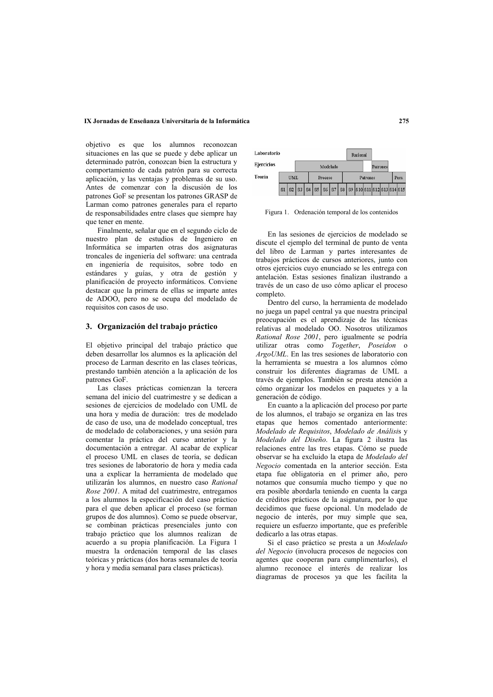## IX Jornadas de Enseñanza Universitaria de la Informática

objetivo es que los alumnos reconozcan situaciones en las que se puede y debe aplicar un determinado patrón, conozcan bien la estructura y comportamiento de cada patrón para su correcta aplicación, y las ventajas y problemas de su uso. Antes de comenzar con la discusión de los patrones GoF se presentan los patrones GRASP de Larman como patrones generales para el reparto de responsabilidades entre clases que siempre hay que tener en mente.

Finalmente, señalar que en el segundo ciclo de nuestro plan de estudios de Ingeniero en Informática se imparten otras dos asignaturas troncales de ingeniería del software: una centrada en ingeniería de requisitos, sobre todo en estándares y guías, y otra de gestión y planificación de proyecto informáticos. Conviene destacar que la primera de ellas se imparte antes de ADOO, pero no se ocupa del modelado de requisitos con casos de uso.

#### 3. Organización del trabajo práctico

El objetivo principal del trabajo práctico que deben desarrollar los alumnos es la aplicación del proceso de Larman descrito en las clases teóricas, prestando también atención a la aplicación de los patrones GoF.

Las clases prácticas comienzan la tercera semana del inicio del cuatrimestre y se dedican a sesiones de ejercicios de modelado con UML de una hora y media de duración: tres de modelado de caso de uso, una de modelado conceptual, tres de modelado de colaboraciones, y una sesión para comentar la práctica del curso anterior y la documentación a entregar. Al acabar de explicar el proceso UML en clases de teoría, se dedican tres sesiones de laboratorio de hora y media cada una a explicar la herramienta de modelado que utilizarán los alumnos, en nuestro caso Rational Rose 2001. A mitad del cuatrimestre, entregamos a los alumnos la especificación del caso práctico para el que deben aplicar el proceso (se forman grupos de dos alumnos). Como se puede observar, se combinan prácticas presenciales junto con trabajo práctico que los alumnos realizan de acuerdo a su propia planificación. La Figura 1 muestra la ordenación temporal de las clases teóricas y prácticas (dos horas semanales de teoría y hora y media semanal para clases prácticas).



Figura 1. Ordenación temporal de los contenidos

En las sesiones de ejercicios de modelado se discute el ejemplo del terminal de punto de venta del libro de Larman y partes interesantes de trabajos prácticos de cursos anteriores, junto con otros ejercicios cuyo enunciado se les entrega con antelación. Estas sesiones finalizan ilustrando a través de un caso de uso cómo aplicar el proceso completo

Dentro del curso, la herramienta de modelado no juega un papel central ya que nuestra principal preocupación es el aprendizaje de las técnicas relativas al modelado OO. Nosotros utilizamos Rational Rose 2001, pero igualmente se podría utilizar otras como Together, Poseidon o ArgoUML. En las tres sesiones de laboratorio con la herramienta se muestra a los alumnos cómo construir los diferentes diagramas de UML a través de ejemplos. También se presta atención a cómo organizar los modelos en paquetes y a la generación de código.

En cuanto a la aplicación del proceso por parte de los alumnos, el trabajo se organiza en las tres etapas que hemos comentado anteriormente: Modelado de Requisitos, Modelado de Análisis y Modelado del Diseño. La figura 2 ilustra las relaciones entre las tres etapas. Cómo se puede observar se ha excluido la etapa de Modelado del Negocio comentada en la anterior sección. Esta etapa fue obligatoria en el primer año, pero notamos que consumía mucho tiempo y que no era posible abordarla teniendo en cuenta la carga de créditos prácticos de la asignatura, por lo que decidimos que fuese opcional. Un modelado de negocio de interés, por muy simple que sea, requiere un esfuerzo importante, que es preferible dedicarlo a las otras etapas.

Si el caso práctico se presta a un Modelado del Negocio (involucra procesos de negocios con agentes que cooperan para cumplimentarlos), el alumno reconoce el interés de realizar los diagramas de procesos ya que les facilita la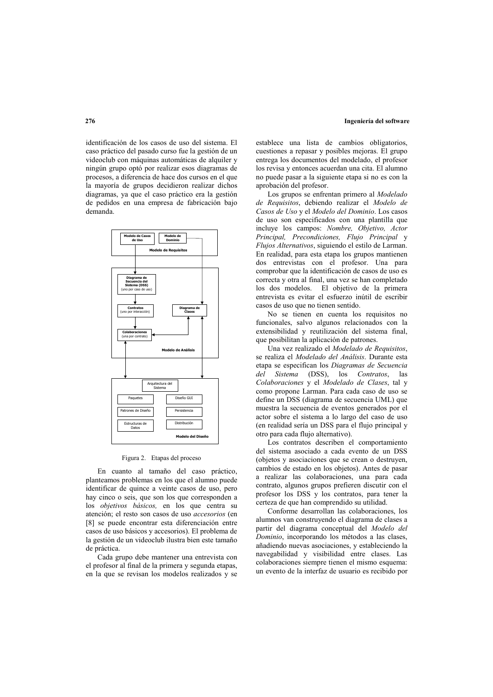# Ingeniería del software

identificación de los casos de uso del sistema. El caso práctico del pasado curso fue la gestión de un videoclub con máquinas automáticas de alquiler y ningún grupo optó por realizar esos diagramas de procesos, a diferencia de hace dos cursos en el que la mayoría de grupos decidieron realizar dichos diagramas, ya que el caso práctico era la gestión de pedidos en una empresa de fabricación bajo demanda



### Figura 2. Etapas del proceso

En cuanto al tamaño del caso práctico, planteamos problemas en los que el alumno puede identificar de quince a veinte casos de uso, pero hay cinco o seis, que son los que corresponden a los objetivos básicos, en los que centra su atención; el resto son casos de uso *accesorios* (en [8] se puede encontrar esta diferenciación entre casos de uso básicos y accesorios). El problema de la gestión de un videoclub ilustra bien este tamaño de práctica.

Cada grupo debe mantener una entrevista con el profesor al final de la primera y segunda etapas, en la que se revisan los modelos realizados y se establece una lista de cambios obligatorios. cuestiones a repasar y posibles mejoras. El grupo entrega los documentos del modelado, el profesor los revisa y entonces acuerdan una cita. El alumno no puede pasar a la siguiente etapa si no es con la aprobación del profesor.

Los grupos se enfrentan primero al Modelado de Requisitos, debiendo realizar el Modelo de Casos de Uso y el Modelo del Dominio. Los casos de uso son especificados con una plantilla que incluye los campos: Nombre, Objetivo, Actor Principal, Precondiciones, Flujo Principal y Flujos Alternativos, siguiendo el estilo de Larman. En realidad, para esta etapa los grupos mantienen dos entrevistas con el profesor. Una para comprobar que la identificación de casos de uso es correcta y otra al final, una vez se han completado los dos modelos. El objetivo de la primera entrevista es evitar el esfuerzo inútil de escribir casos de uso que no tienen sentido.

No se tienen en cuenta los requisitos no funcionales, salvo algunos relacionados con la extensibilidad y reutilización del sistema final, que posibilitan la aplicación de patrones.

Una vez realizado el Modelado de Requisitos, se realiza el Modelado del Análisis. Durante esta etana se especifican los Diagramas de Secuencia del Sistema (DSS), los Contratos, las Colaboraciones y el Modelado de Clases, tal y como propone Larman. Para cada caso de uso se define un DSS (diagrama de secuencia UML) que muestra la secuencia de eventos generados por el actor sobre el sistema a lo largo del caso de uso (en realidad sería un DSS para el flujo principal y otro para cada flujo alternativo).

Los contratos describen el comportamiento del sistema asociado a cada evento de un DSS (objetos y asociaciones que se crean o destruyen, cambios de estado en los objetos). Antes de pasar a realizar las colaboraciones, una para cada contrato, algunos grupos prefieren discutir con el profesor los DSS y los contratos, para tener la certeza de que han comprendido su utilidad.

Conforme desarrollan las colaboraciones, los alumnos van construyendo el diagrama de clases a partir del diagrama conceptual del Modelo del Dominio, incorporando los métodos a las clases, añadiendo nuevas asociaciones, y estableciendo la navegabilidad y visibilidad entre clases. Las colaboraciones siempre tienen el mismo esquema: un evento de la interfaz de usuario es recibido por

 $276$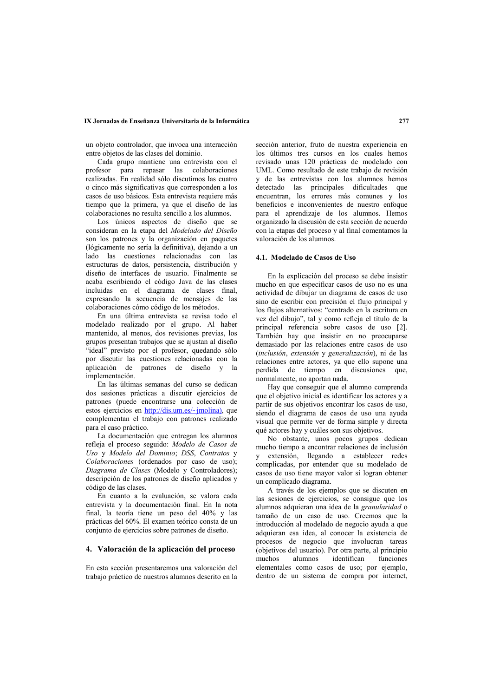## IX Jornadas de Enseñanza Universitaria de la Informática

un obieto controlador, que invoca una interacción entre objetos de las clases del dominio.

Cada grupo mantiene una entrevista con el profesor para repasar las colaboraciones realizadas. En realidad sólo discutimos las cuatro o cinco más significativas que corresponden a los casos de uso básicos. Esta entrevista requiere más tiempo que la primera, ya que el diseño de las colaboraciones no resulta sencillo a los alumnos.

Los únicos aspectos de diseño que se consideran en la etapa del Modelado del Diseño son los patrones y la organización en paquetes (lógicamente no sería la definitiva), dejando a un lado las cuestiones relacionadas con las estructuras de datos, persistencia, distribución y diseño de interfaces de usuario. Finalmente se acaba escribiendo el código Java de las clases incluidas en el diagrama de clases final, expresando la secuencia de mensajes de las colaboraciones cómo código de los métodos.

En una última entrevista se revisa todo el modelado realizado por el grupo. Al haber mantenido, al menos, dos revisiones previas, los grupos presentan trabajos que se ajustan al diseño "ideal" previsto por el profesor, quedando sólo por discutir las cuestiones relacionadas con la aplicación de patrones de diseño y la implementación.

En las últimas semanas del curso se dedican dos sesiones prácticas a discutir ejercicios de patrones (puede encontrarse una colección de estos ejercicios en http://dis.um.es/~jmolina), que complementan el trabajo con patrones realizado para el caso práctico.

La documentación que entregan los alumnos refleja el proceso seguido: Modelo de Casos de Uso y Modelo del Dominio; DSS, Contratos y Colaboraciones (ordenados por caso de uso); Diagrama de Clases (Modelo y Controladores); descripción de los patrones de diseño aplicados y código de las clases.

En cuanto a la evaluación, se valora cada entrevista y la documentación final. En la nota final, la teoría tiene un peso del 40% y las prácticas del 60%. El examen teórico consta de un conjunto de ejercicios sobre patrones de diseño.

## 4. Valoración de la aplicación del proceso

En esta sección presentaremos una valoración del trabajo práctico de nuestros alumnos descrito en la

sección anterior, fruto de nuestra experiencia en los últimos tres cursos en los cuales hemos revisado unas 120 prácticas de modelado con UML. Como resultado de este trabajo de revisión y de las entrevistas con los alumnos hemos detectado las principales dificultades que encuentran, los errores más comunes y los beneficios e inconvenientes de nuestro enfoque para el aprendizaje de los alumnos. Hemos organizado la discusión de esta sección de acuerdo con la etapas del proceso y al final comentamos la valoración de los alumnos

#### 4.1. Modelado de Casos de Uso

En la explicación del proceso se debe insistir mucho en que especificar casos de uso no es una actividad de dibuiar un diagrama de casos de uso sino de escribir con precisión el flujo principal y los flujos alternativos: "centrado en la escritura en vez del dibujo", tal y como refleja el título de la principal referencia sobre casos de uso [2]. También hay que insistir en no preocuparse demasiado por las relaciones entre casos de uso (inclusión, extensión y generalización), ni de las relaciones entre actores, ya que ello supone una perdida de tiempo en discusiones que normalmente, no aportan nada.

Hay que conseguir que el alumno comprenda que el objetivo inicial es identificar los actores y a partir de sus objetivos encontrar los casos de uso, siendo el diagrama de casos de uso una ayuda visual que permite ver de forma simple y directa qué actores hay y cuáles son sus objetivos.

No obstante, unos pocos grupos dedican mucho tiempo a encontrar relaciones de inclusión y extensión, llegando a establecer redes complicadas, por entender que su modelado de casos de uso tiene mayor valor si logran obtener un complicado diagrama.

A través de los ejemplos que se discuten en las sesiones de ejercicios, se consigue que los alumnos adquieran una idea de la granularidad o tamaño de un caso de uso. Creemos que la introducción al modelado de negocio ayuda a que adquieran esa idea, al conocer la existencia de procesos de negocio que involucran tareas (objetivos del usuario). Por otra parte, al principio alumnos identifican muchos funciones elementales como casos de uso; por ejemplo, dentro de un sistema de compra por internet,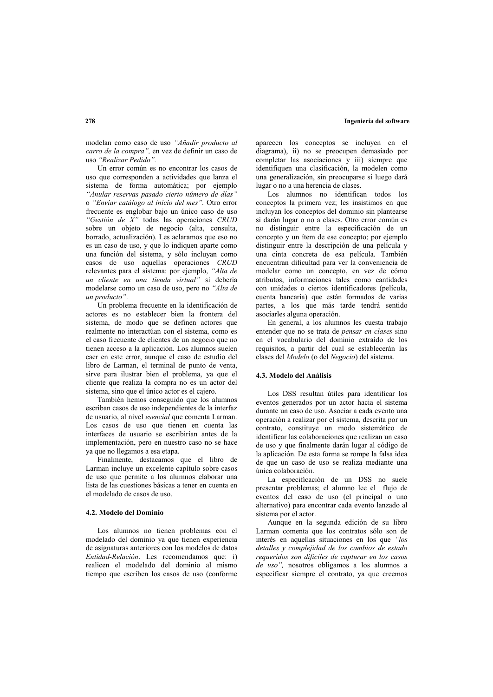modelan como caso de uso "Añadir producto al carro de la compra", en vez de definir un caso de uso "Realizar Pedido".

Un error común es no encontrar los casos de uso que corresponden a actividades que lanza el sistema de forma automática; por ejemplo "Anular reservas pasado cierto número de días" o "Enviar catálogo al inicio del mes". Otro error frecuente es englobar bajo un único caso de uso "Gestión de X" todas las operaciones CRUD sobre un objeto de negocio (alta, consulta, borrado, actualización). Les aclaramos que eso no es un caso de uso, y que lo indiquen aparte como una función del sistema, y sólo incluyan como casos de uso aquellas operaciones CRUD relevantes para el sistema: por ejemplo, "Alta de un cliente en una tienda virtual" si debería modelarse como un caso de uso, pero no "Alta de un producto".

Un problema frecuente en la identificación de actores es no establecer bien la frontera del sistema, de modo que se definen actores que realmente no interactúan con el sistema, como es el caso frecuente de clientes de un negocio que no tienen acceso a la aplicación. Los alumnos suelen caer en este error, aunque el caso de estudio del libro de Larman, el terminal de punto de venta. sirve para ilustrar bien el problema, va que el cliente que realiza la compra no es un actor del sistema, sino que el único actor es el cajero.

También hemos conseguido que los alumnos escriban casos de uso independientes de la interfaz de usuario, al nivel esencial que comenta Larman. Los casos de uso que tienen en cuenta las interfaces de usuario se escribirían antes de la implementación, pero en nuestro caso no se hace ya que no llegamos a esa etapa.

Finalmente, destacamos que el libro de Larman incluye un excelente capítulo sobre casos de uso que permite a los alumnos elaborar una lista de las cuestiones básicas a tener en cuenta en el modelado de casos de uso

## 4.2. Modelo del Dominio

Los alumnos no tienen problemas con el modelado del dominio va que tienen experiencia de asignaturas anteriores con los modelos de datos Entidad-Relación. Les recomendamos que: i) realicen el modelado del dominio al mismo tiempo que escriben los casos de uso (conforme

aparecen los conceptos se incluven en el diagrama), ii) no se preocupen demasiado por completar las asociaciones y iii) siempre que identifiquen una clasificación, la modelen como una generalización, sin preocuparse si luego dará lugar o no a una herencia de clases

Los alumnos no identifican todos los conceptos la primera vez: les insistimos en que incluvan los conceptos del dominio sin plantearse si darán lugar o no a clases. Otro error común es no distinguir entre la especificación de un concepto y un ítem de ese concepto; por ejemplo distinguir entre la descripción de una película y una cinta concreta de esa película. También encuentran dificultad para ver la conveniencia de modelar como un concepto, en vez de cómo atributos, informaciones tales como cantidades con unidades o ciertos identificadores (película, cuenta bancaria) que están formados de varias partes, a los que más tarde tendrá sentido asociarles alguna operación.

En general, a los alumnos les cuesta trabajo entender que no se trata de *pensar en clases* sino en el vocabulario del dominio extraído de los requisitos, a partir del cual se establecerán las clases del Modelo (o del Negocio) del sistema.

#### 4.3. Modelo del Análisis

Los DSS resultan útiles para identificar los eventos generados por un actor hacia el sistema durante un caso de uso. Asociar a cada evento una operación a realizar por el sistema, descrita por un contrato, constituye un modo sistemático de identificar las colaboraciones que realizan un caso de uso y que finalmente darán lugar al código de la aplicación. De esta forma se rompe la falsa idea de que un caso de uso se realiza mediante una única colaboración.

La especificación de un DSS no suele presentar problemas; el alumno lee el flujo de eventos del caso de uso (el principal o uno alternativo) para encontrar cada evento lanzado al sistema por el actor.

Aunque en la segunda edición de su libro Larman comenta que los contratos sólo son de interés en aquellas situaciones en los que "los detalles y complejidad de los cambios de estado requeridos son difíciles de capturar en los casos de uso", nosotros obligamos a los alumnos a especificar siempre el contrato, ya que creemos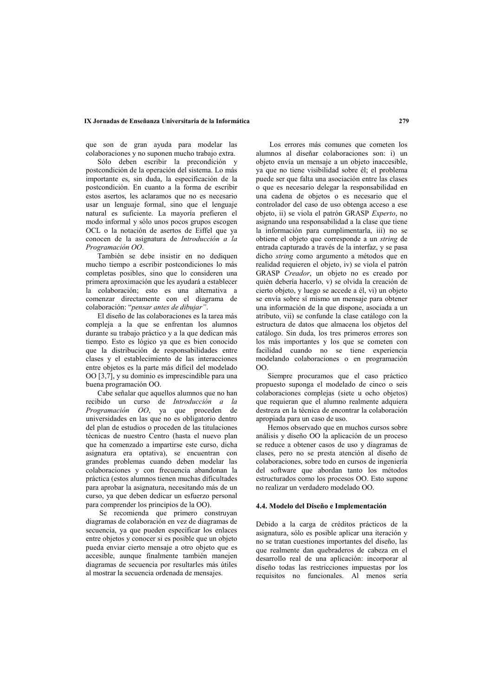## IX Jornadas de Enseñanza Universitaria de la Informática

que son de gran ayuda para modelar las colaboraciones y no suponen mucho trabajo extra.

Sólo deben escribir la precondición y postcondición de la operación del sistema. Lo más importante es, sin duda, la especificación de la postcondición. En cuanto a la forma de escribir estos asertos, les aclaramos que no es necesario usar un lenguaie formal, sino que el lenguaie natural es suficiente. La mayoría prefieren el modo informal y sólo unos pocos grupos escogen OCL o la notación de asertos de Eiffel que va conocen de la asignatura de Introducción a la Programación OO.

También se debe insistir en no dediquen mucho tiempo a escribir postcondiciones lo más completas posibles, sino que lo consideren una primera aproximación que les avudará a establecer la colaboración; esto es una alternativa a comenzar directamente con el diagrama de colaboración: "pensar antes de dibujar"

El diseño de las colaboraciones es la tarea más compleja a la que se enfrentan los alumnos durante su trabajo práctico y a la que dedican más tiempo. Esto es lógico va que es bien conocido que la distribución de responsabilidades entre clases y el establecimiento de las interacciones entre objetos es la parte más difícil del modelado OO [3,7], y su dominio es imprescindible para una buena programación OO.

Cabe señalar que aquellos alumnos que no han recibido un curso de Introducción a la Programación OO, ya que proceden de universidades en las que no es obligatorio dentro del plan de estudios o proceden de las titulaciones técnicas de nuestro Centro (hasta el nuevo plan que ha comenzado a impartirse este curso, dicha asignatura era optativa), se encuentran con grandes problemas cuando deben modelar las colaboraciones y con frecuencia abandonan la práctica (estos alumnos tienen muchas dificultades para aprobar la asignatura, necesitando más de un curso, va que deben dedicar un esfuerzo personal para comprender los principios de la OO).

Se recomienda que primero construyan diagramas de colaboración en vez de diagramas de secuencia, ya que pueden especificar los enlaces entre objetos y conocer si es posible que un objeto pueda enviar cierto mensaje a otro objeto que es accesible aunque finalmente también maneien diagramas de secuencia por resultarles más útiles al mostrar la secuencia ordenada de mensajes.

Los errores más comunes que cometen los alumnos al diseñar colaboraciones son: i) un objeto envía un mensaje a un objeto inaccesible, va que no tiene visibilidad sobre él: el problema puede ser que falta una asociación entre las clases o que es necesario delegar la responsabilidad en una cadena de objetos o es necesario que el controlador del caso de uso obtenga acceso a ese objeto, ii) se viola el patrón GRASP Experto, no asignando una responsabilidad a la clase que tiene la información para cumplimentarla, iii) no se obtiene el objeto que corresponde a un *string* de entrada capturado a través de la interfaz, y se pasa dicho *string* como argumento a métodos que en realidad requieren el objeto, iv) se viola el patrón GRASP Creador, un objeto no es creado por quién debería hacerlo, v) se olvida la creación de cierto objeto, y luego se accede a él, vi) un objeto se envía sobre sí mismo un mensaje para obtener una información de la que dispone, asociada a un atributo, vii) se confunde la clase catálogo con la estructura de datos que almacena los objetos del catálogo. Sin duda, los tres primeros errores son los más importantes y los que se cometen con facilidad cuando no se tiene experiencia modelando colaboraciones o en programación  $\Omega$ 

Siempre procuramos que el caso práctico propuesto suponga el modelado de cinco o seis colaboraciones complejas (siete u ocho objetos) que requieran que el alumno realmente adquiera destreza en la técnica de encontrar la colaboración apropiada para un caso de uso.

Hemos observado que en muchos cursos sobre análisis y diseño OO la aplicación de un proceso se reduce a obtener casos de uso y diagramas de clases, pero no se presta atención al diseño de colaboraciones, sobre todo en cursos de ingeniería del software que abordan tanto los métodos estructurados como los procesos OO. Esto supone no realizar un verdadero modelado OO.

#### 4.4. Modelo del Diseño e Implementación

Debido a la carga de créditos prácticos de la asignatura, sólo es posible aplicar una iteración y no se tratan cuestiones importantes del diseño. las que realmente dan quebraderos de cabeza en el desarrollo real de una aplicación: incorporar al diseño todas las restricciones impuestas por los requisitos no funcionales. Al menos sería